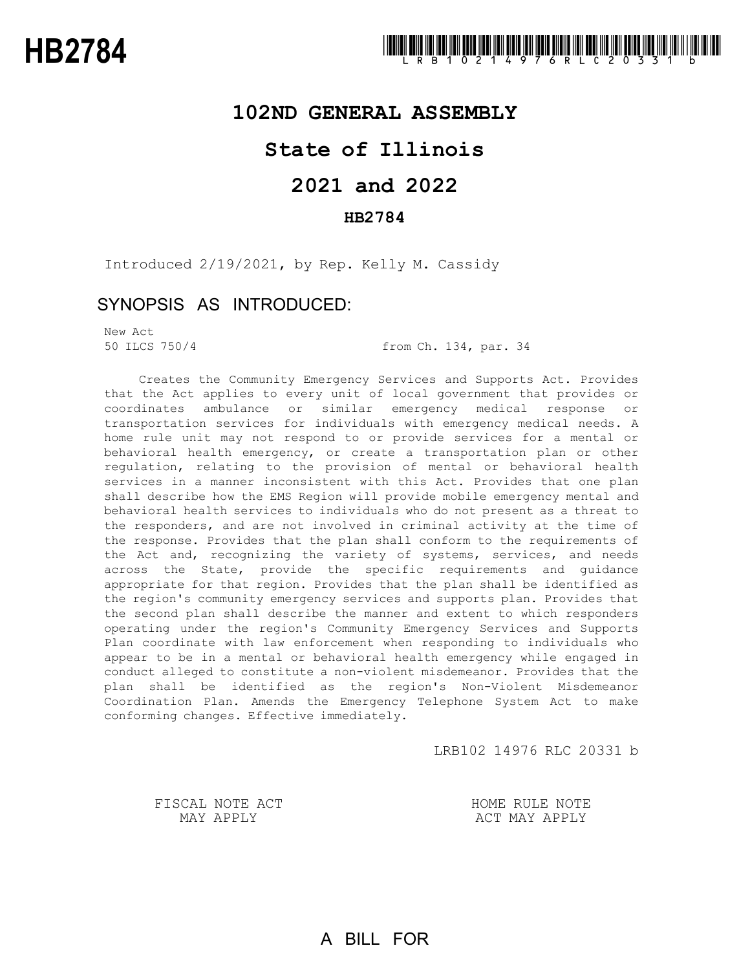### **102ND GENERAL ASSEMBLY**

## **State of Illinois**

# **2021 and 2022**

### **HB2784**

Introduced 2/19/2021, by Rep. Kelly M. Cassidy

### SYNOPSIS AS INTRODUCED:

New Act

50 ILCS 750/4 from Ch. 134, par. 34

Creates the Community Emergency Services and Supports Act. Provides that the Act applies to every unit of local government that provides or coordinates ambulance or similar emergency medical response or transportation services for individuals with emergency medical needs. A home rule unit may not respond to or provide services for a mental or behavioral health emergency, or create a transportation plan or other regulation, relating to the provision of mental or behavioral health services in a manner inconsistent with this Act. Provides that one plan shall describe how the EMS Region will provide mobile emergency mental and behavioral health services to individuals who do not present as a threat to the responders, and are not involved in criminal activity at the time of the response. Provides that the plan shall conform to the requirements of the Act and, recognizing the variety of systems, services, and needs across the State, provide the specific requirements and guidance appropriate for that region. Provides that the plan shall be identified as the region's community emergency services and supports plan. Provides that the second plan shall describe the manner and extent to which responders operating under the region's Community Emergency Services and Supports Plan coordinate with law enforcement when responding to individuals who appear to be in a mental or behavioral health emergency while engaged in conduct alleged to constitute a non-violent misdemeanor. Provides that the plan shall be identified as the region's Non-Violent Misdemeanor Coordination Plan. Amends the Emergency Telephone System Act to make conforming changes. Effective immediately.

LRB102 14976 RLC 20331 b

FISCAL NOTE ACT MAY APPLY

HOME RULE NOTE ACT MAY APPLY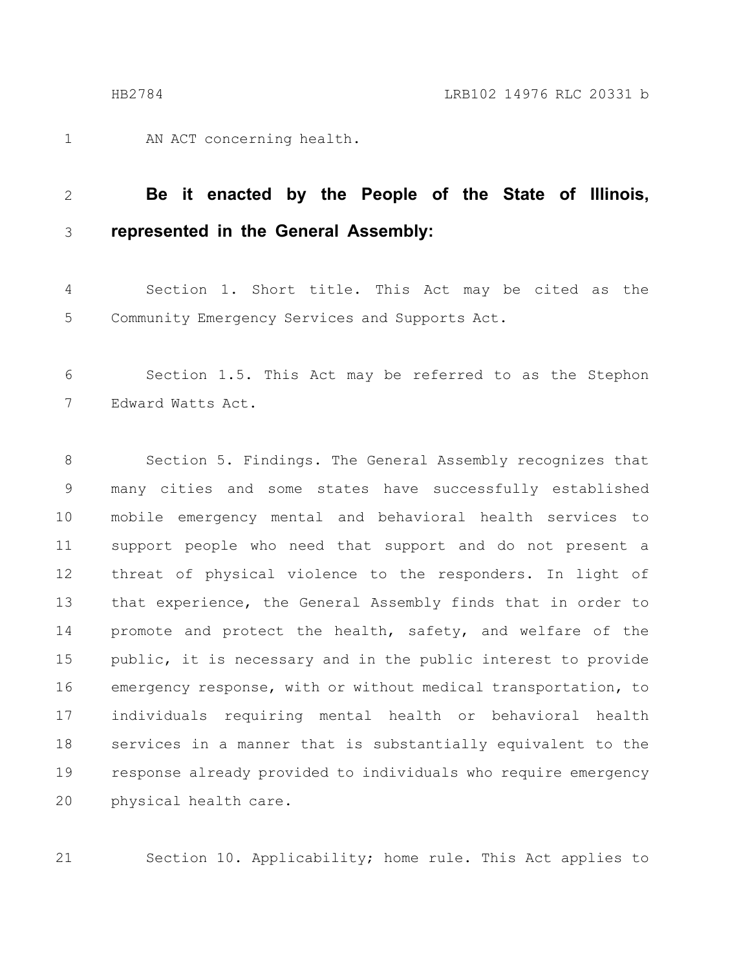AN ACT concerning health. 1

#### **Be it enacted by the People of the State of Illinois, represented in the General Assembly:** 2 3

Section 1. Short title. This Act may be cited as the Community Emergency Services and Supports Act. 4 5

Section 1.5. This Act may be referred to as the Stephon Edward Watts Act. 6 7

Section 5. Findings. The General Assembly recognizes that many cities and some states have successfully established mobile emergency mental and behavioral health services to support people who need that support and do not present a threat of physical violence to the responders. In light of that experience, the General Assembly finds that in order to promote and protect the health, safety, and welfare of the public, it is necessary and in the public interest to provide emergency response, with or without medical transportation, to individuals requiring mental health or behavioral health services in a manner that is substantially equivalent to the response already provided to individuals who require emergency physical health care. 8 9 10 11 12 13 14 15 16 17 18 19 20

Section 10. Applicability; home rule. This Act applies to

21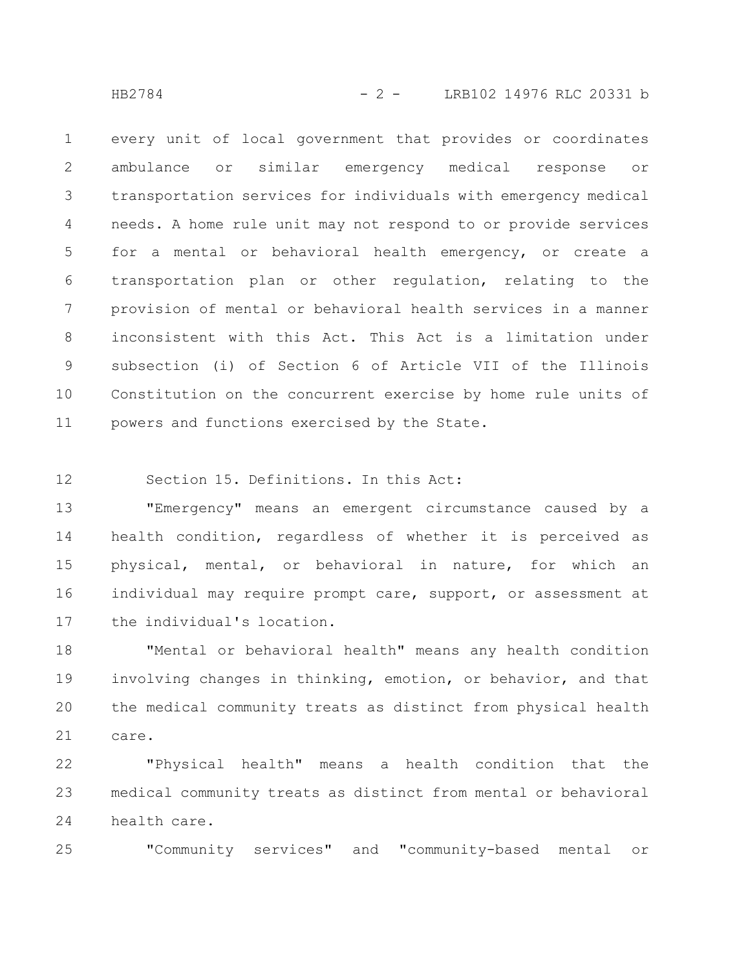HB2784 - 2 - LRB102 14976 RLC 20331 b

every unit of local government that provides or coordinates ambulance or similar emergency medical response or transportation services for individuals with emergency medical needs. A home rule unit may not respond to or provide services for a mental or behavioral health emergency, or create a transportation plan or other regulation, relating to the provision of mental or behavioral health services in a manner inconsistent with this Act. This Act is a limitation under subsection (i) of Section 6 of Article VII of the Illinois Constitution on the concurrent exercise by home rule units of powers and functions exercised by the State. 1 2 3 4 5 6 7 8 9 10 11

Section 15. Definitions. In this Act: 12

25

"Emergency" means an emergent circumstance caused by a health condition, regardless of whether it is perceived as physical, mental, or behavioral in nature, for which an individual may require prompt care, support, or assessment at the individual's location. 13 14 15 16 17

"Mental or behavioral health" means any health condition involving changes in thinking, emotion, or behavior, and that the medical community treats as distinct from physical health care. 18 19 20 21

"Physical health" means a health condition that the medical community treats as distinct from mental or behavioral health care. 22 23 24

"Community services" and "community-based mental or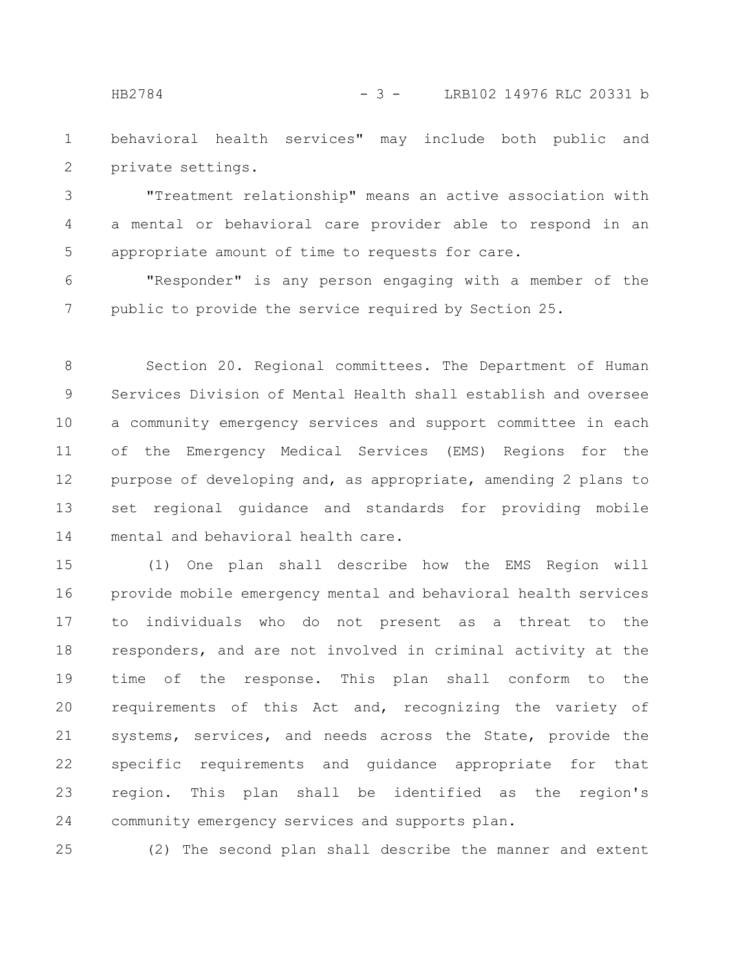HB2784 - 3 - LRB102 14976 RLC 20331 b

behavioral health services" may include both public and private settings. 1 2

"Treatment relationship" means an active association with a mental or behavioral care provider able to respond in an appropriate amount of time to requests for care. 3 4 5

"Responder" is any person engaging with a member of the public to provide the service required by Section 25. 6 7

Section 20. Regional committees. The Department of Human Services Division of Mental Health shall establish and oversee a community emergency services and support committee in each of the Emergency Medical Services (EMS) Regions for the purpose of developing and, as appropriate, amending 2 plans to set regional guidance and standards for providing mobile mental and behavioral health care. 8 9 10 11 12 13 14

(1) One plan shall describe how the EMS Region will provide mobile emergency mental and behavioral health services to individuals who do not present as a threat to the responders, and are not involved in criminal activity at the time of the response. This plan shall conform to the requirements of this Act and, recognizing the variety of systems, services, and needs across the State, provide the specific requirements and guidance appropriate for that region. This plan shall be identified as the region's community emergency services and supports plan. 15 16 17 18 19 20 21 22 23 24

(2) The second plan shall describe the manner and extent 25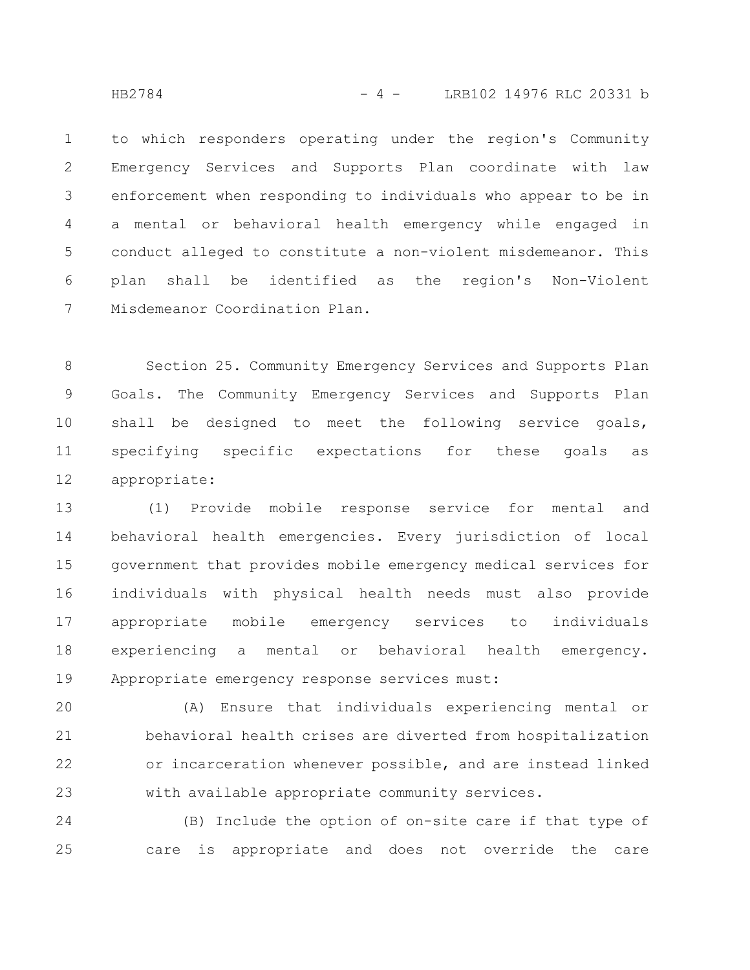HB2784 - 4 - LRB102 14976 RLC 20331 b

to which responders operating under the region's Community Emergency Services and Supports Plan coordinate with law enforcement when responding to individuals who appear to be in a mental or behavioral health emergency while engaged in conduct alleged to constitute a non-violent misdemeanor. This plan shall be identified as the region's Non-Violent Misdemeanor Coordination Plan. 1 2 3 4 5 6 7

Section 25. Community Emergency Services and Supports Plan Goals. The Community Emergency Services and Supports Plan shall be designed to meet the following service goals, specifying specific expectations for these goals as appropriate: 8 9 10 11 12

(1) Provide mobile response service for mental and behavioral health emergencies. Every jurisdiction of local government that provides mobile emergency medical services for individuals with physical health needs must also provide appropriate mobile emergency services to individuals experiencing a mental or behavioral health emergency. Appropriate emergency response services must: 13 14 15 16 17 18 19

(A) Ensure that individuals experiencing mental or behavioral health crises are diverted from hospitalization or incarceration whenever possible, and are instead linked with available appropriate community services. 20 21 22 23

(B) Include the option of on-site care if that type of care is appropriate and does not override the care 24 25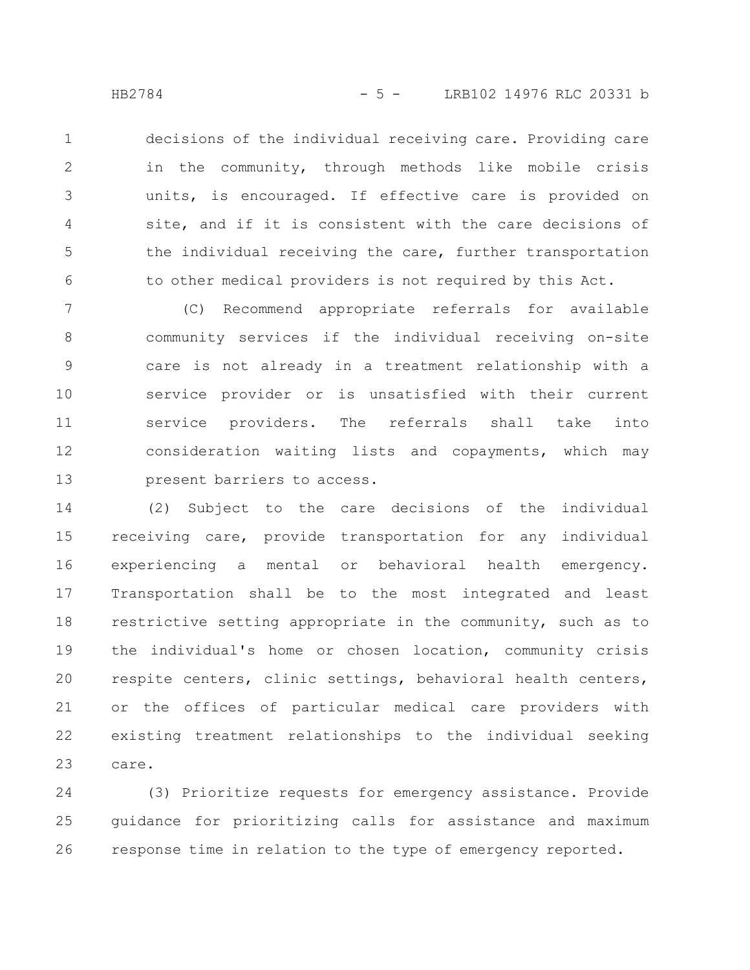decisions of the individual receiving care. Providing care in the community, through methods like mobile crisis units, is encouraged. If effective care is provided on site, and if it is consistent with the care decisions of the individual receiving the care, further transportation to other medical providers is not required by this Act. 1 2 3 4 5 6

(C) Recommend appropriate referrals for available community services if the individual receiving on-site care is not already in a treatment relationship with a service provider or is unsatisfied with their current service providers. The referrals shall take into consideration waiting lists and copayments, which may present barriers to access. 7 8 9 10 11 12 13

(2) Subject to the care decisions of the individual receiving care, provide transportation for any individual experiencing a mental or behavioral health emergency. Transportation shall be to the most integrated and least restrictive setting appropriate in the community, such as to the individual's home or chosen location, community crisis respite centers, clinic settings, behavioral health centers, or the offices of particular medical care providers with existing treatment relationships to the individual seeking care. 14 15 16 17 18 19 20 21 22 23

(3) Prioritize requests for emergency assistance. Provide guidance for prioritizing calls for assistance and maximum response time in relation to the type of emergency reported. 24 25 26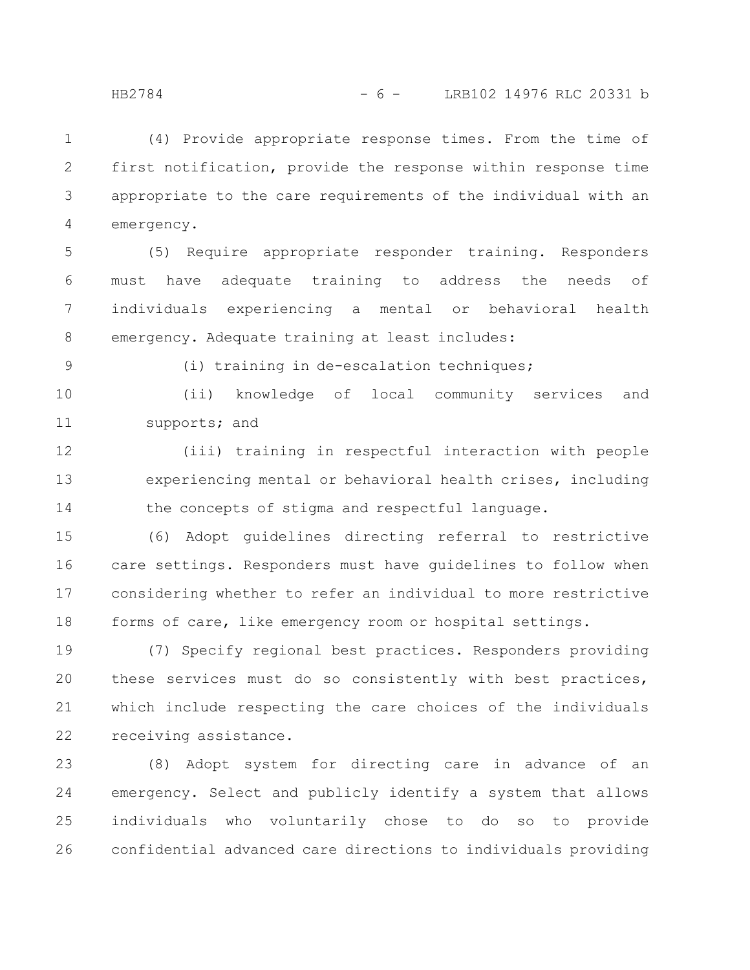(4) Provide appropriate response times. From the time of first notification, provide the response within response time appropriate to the care requirements of the individual with an emergency. 1 2 3 4

(5) Require appropriate responder training. Responders must have adequate training to address the needs of individuals experiencing a mental or behavioral health emergency. Adequate training at least includes: 5 6 7 8

9

(i) training in de-escalation techniques;

(ii) knowledge of local community services and supports; and 10 11

(iii) training in respectful interaction with people experiencing mental or behavioral health crises, including the concepts of stigma and respectful language. 12 13 14

(6) Adopt guidelines directing referral to restrictive care settings. Responders must have guidelines to follow when considering whether to refer an individual to more restrictive forms of care, like emergency room or hospital settings. 15 16 17 18

(7) Specify regional best practices. Responders providing these services must do so consistently with best practices, which include respecting the care choices of the individuals receiving assistance. 19 20 21 22

(8) Adopt system for directing care in advance of an emergency. Select and publicly identify a system that allows individuals who voluntarily chose to do so to provide confidential advanced care directions to individuals providing 23 24 25 26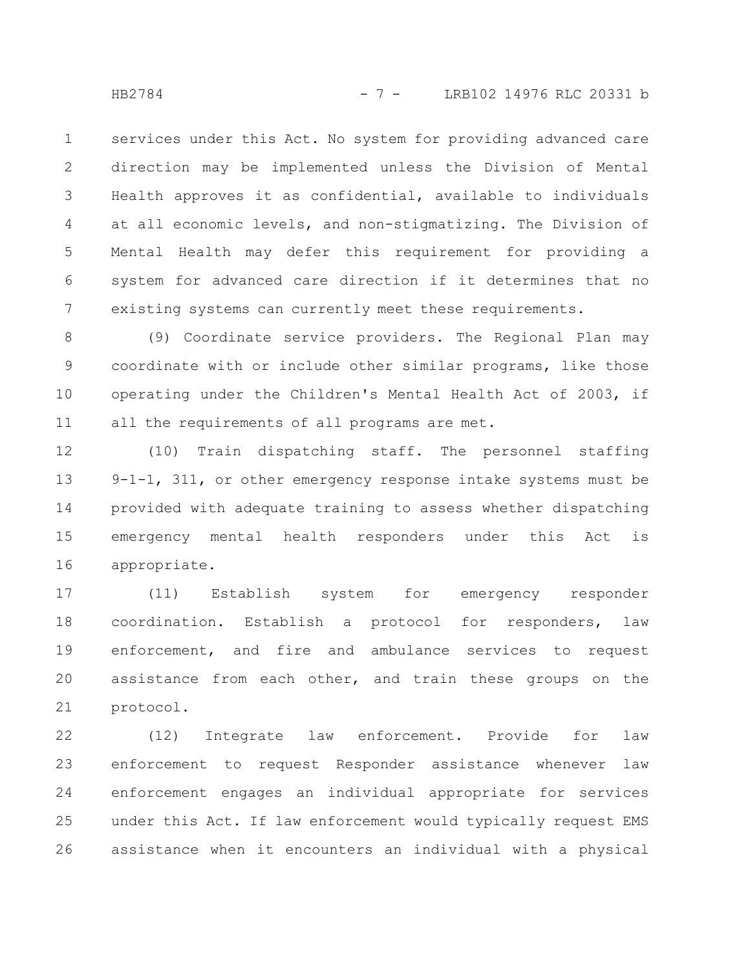services under this Act. No system for providing advanced care direction may be implemented unless the Division of Mental Health approves it as confidential, available to individuals at all economic levels, and non-stigmatizing. The Division of Mental Health may defer this requirement for providing a system for advanced care direction if it determines that no existing systems can currently meet these requirements. 1 2 3 4 5 6 7

(9) Coordinate service providers. The Regional Plan may coordinate with or include other similar programs, like those operating under the Children's Mental Health Act of 2003, if all the requirements of all programs are met. 8 9 10 11

(10) Train dispatching staff. The personnel staffing 9-1-1, 311, or other emergency response intake systems must be provided with adequate training to assess whether dispatching emergency mental health responders under this Act is appropriate. 12 13 14 15 16

(11) Establish system for emergency responder coordination. Establish a protocol for responders, law enforcement, and fire and ambulance services to request assistance from each other, and train these groups on the protocol. 17 18 19 20 21

(12) Integrate law enforcement. Provide for law enforcement to request Responder assistance whenever law enforcement engages an individual appropriate for services under this Act. If law enforcement would typically request EMS assistance when it encounters an individual with a physical 22 23 24 25 26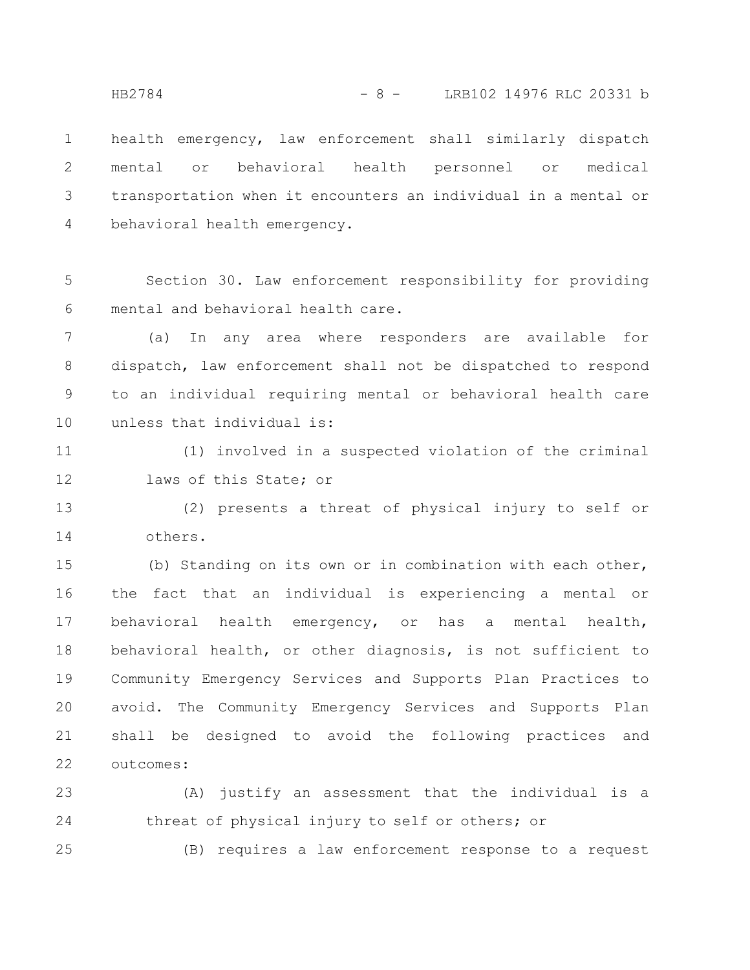health emergency, law enforcement shall similarly dispatch mental or behavioral health personnel or medical transportation when it encounters an individual in a mental or behavioral health emergency. 1 2 3 4

Section 30. Law enforcement responsibility for providing mental and behavioral health care. 5 6

(a) In any area where responders are available for dispatch, law enforcement shall not be dispatched to respond to an individual requiring mental or behavioral health care unless that individual is: 7 8 9 10

(1) involved in a suspected violation of the criminal laws of this State; or 11 12

(2) presents a threat of physical injury to self or others. 13 14

(b) Standing on its own or in combination with each other, the fact that an individual is experiencing a mental or behavioral health emergency, or has a mental health, behavioral health, or other diagnosis, is not sufficient to Community Emergency Services and Supports Plan Practices to avoid. The Community Emergency Services and Supports Plan shall be designed to avoid the following practices and outcomes: 15 16 17 18 19 20 21 22

(A) justify an assessment that the individual is a threat of physical injury to self or others; or 23 24

(B) requires a law enforcement response to a request

25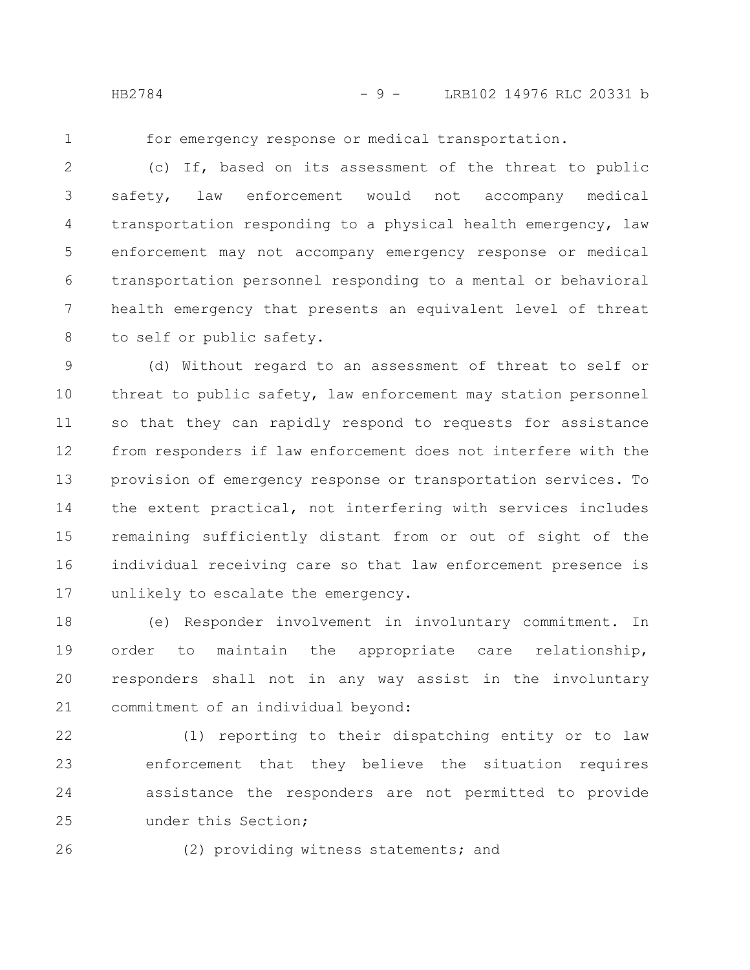HB2784 - 9 - LRB102 14976 RLC 20331 b

1

for emergency response or medical transportation.

(c) If, based on its assessment of the threat to public safety, law enforcement would not accompany medical transportation responding to a physical health emergency, law enforcement may not accompany emergency response or medical transportation personnel responding to a mental or behavioral health emergency that presents an equivalent level of threat to self or public safety. 2 3 4 5 6 7 8

(d) Without regard to an assessment of threat to self or threat to public safety, law enforcement may station personnel so that they can rapidly respond to requests for assistance from responders if law enforcement does not interfere with the provision of emergency response or transportation services. To the extent practical, not interfering with services includes remaining sufficiently distant from or out of sight of the individual receiving care so that law enforcement presence is unlikely to escalate the emergency. 9 10 11 12 13 14 15 16 17

(e) Responder involvement in involuntary commitment. In order to maintain the appropriate care relationship, responders shall not in any way assist in the involuntary commitment of an individual beyond: 18 19 20 21

(1) reporting to their dispatching entity or to law enforcement that they believe the situation requires assistance the responders are not permitted to provide under this Section; 22 23 24 25

26

(2) providing witness statements; and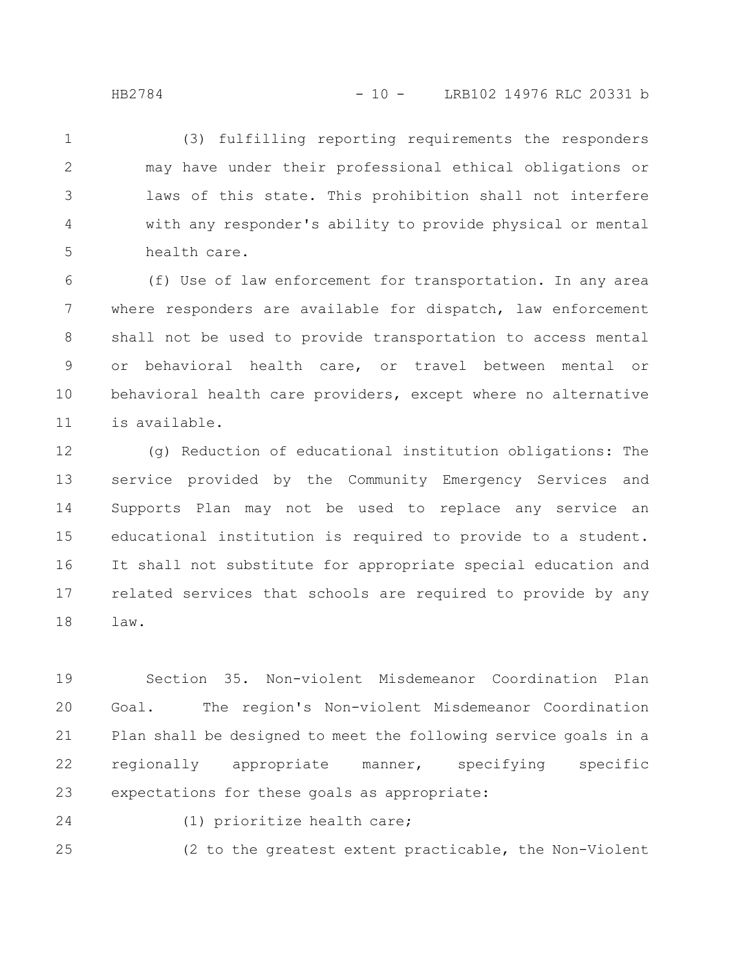(3) fulfilling reporting requirements the responders may have under their professional ethical obligations or laws of this state. This prohibition shall not interfere with any responder's ability to provide physical or mental health care. 1 2 3 4 5

(f) Use of law enforcement for transportation. In any area where responders are available for dispatch, law enforcement shall not be used to provide transportation to access mental or behavioral health care, or travel between mental or behavioral health care providers, except where no alternative is available. 6 7 8 9 10 11

(g) Reduction of educational institution obligations: The service provided by the Community Emergency Services and Supports Plan may not be used to replace any service an educational institution is required to provide to a student. It shall not substitute for appropriate special education and related services that schools are required to provide by any law. 12 13 14 15 16 17 18

Section 35. Non-violent Misdemeanor Coordination Plan Goal. The region's Non-violent Misdemeanor Coordination Plan shall be designed to meet the following service goals in a regionally appropriate manner, specifying specific expectations for these goals as appropriate: 19 20 21 22 23

24

25

(1) prioritize health care;

(2 to the greatest extent practicable, the Non-Violent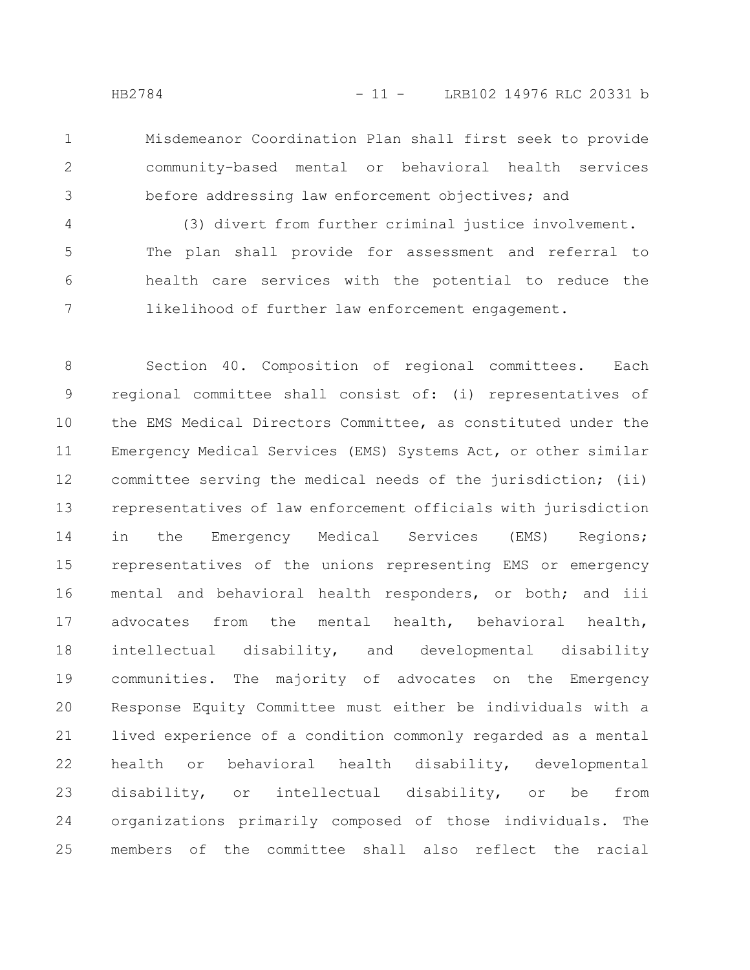Misdemeanor Coordination Plan shall first seek to provide community-based mental or behavioral health services before addressing law enforcement objectives; and 1 2 3

(3) divert from further criminal justice involvement. The plan shall provide for assessment and referral to health care services with the potential to reduce the likelihood of further law enforcement engagement. 4 5 6 7

Section 40. Composition of regional committees. Each regional committee shall consist of: (i) representatives of the EMS Medical Directors Committee, as constituted under the Emergency Medical Services (EMS) Systems Act, or other similar committee serving the medical needs of the jurisdiction; (ii) representatives of law enforcement officials with jurisdiction in the Emergency Medical Services (EMS) Regions; representatives of the unions representing EMS or emergency mental and behavioral health responders, or both; and iii advocates from the mental health, behavioral health, intellectual disability, and developmental disability communities. The majority of advocates on the Emergency Response Equity Committee must either be individuals with a lived experience of a condition commonly regarded as a mental health or behavioral health disability, developmental disability, or intellectual disability, or be from organizations primarily composed of those individuals. The members of the committee shall also reflect the racial 8 9 10 11 12 13 14 15 16 17 18 19 20 21 22 23 24 25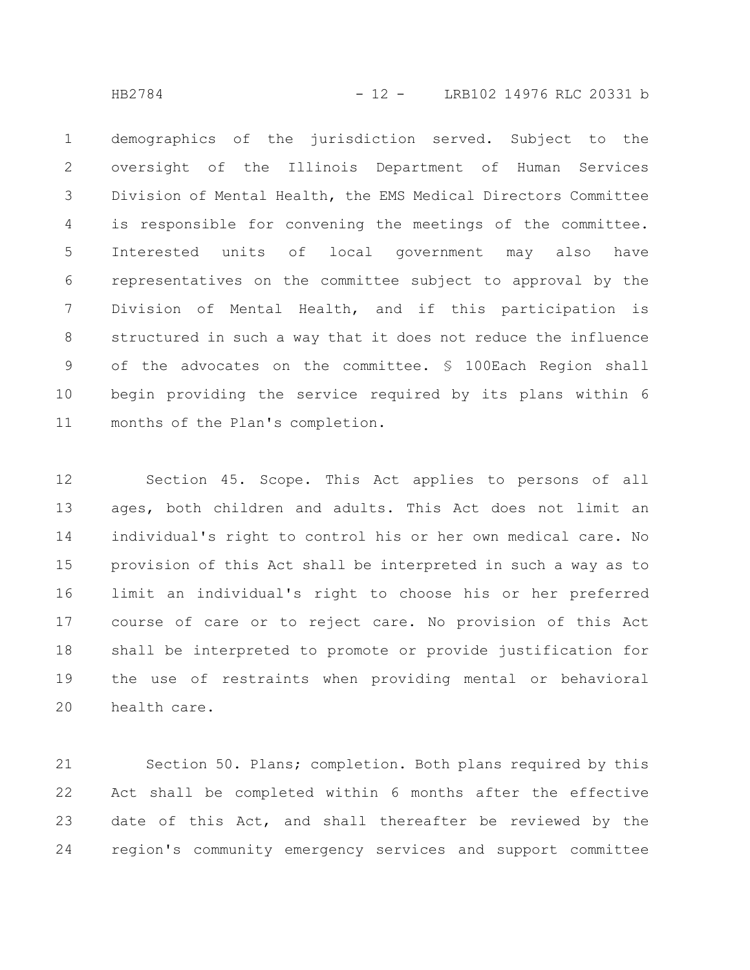HB2784 - 12 - LRB102 14976 RLC 20331 b

demographics of the jurisdiction served. Subject to the oversight of the Illinois Department of Human Services Division of Mental Health, the EMS Medical Directors Committee is responsible for convening the meetings of the committee. Interested units of local government may also have representatives on the committee subject to approval by the Division of Mental Health, and if this participation is structured in such a way that it does not reduce the influence of the advocates on the committee. § 100Each Region shall begin providing the service required by its plans within 6 months of the Plan's completion. 1 2 3 4 5 6 7 8 9 10 11

Section 45. Scope. This Act applies to persons of all ages, both children and adults. This Act does not limit an individual's right to control his or her own medical care. No provision of this Act shall be interpreted in such a way as to limit an individual's right to choose his or her preferred course of care or to reject care. No provision of this Act shall be interpreted to promote or provide justification for the use of restraints when providing mental or behavioral health care. 12 13 14 15 16 17 18 19 20

Section 50. Plans; completion. Both plans required by this Act shall be completed within 6 months after the effective date of this Act, and shall thereafter be reviewed by the region's community emergency services and support committee 21 22 23 24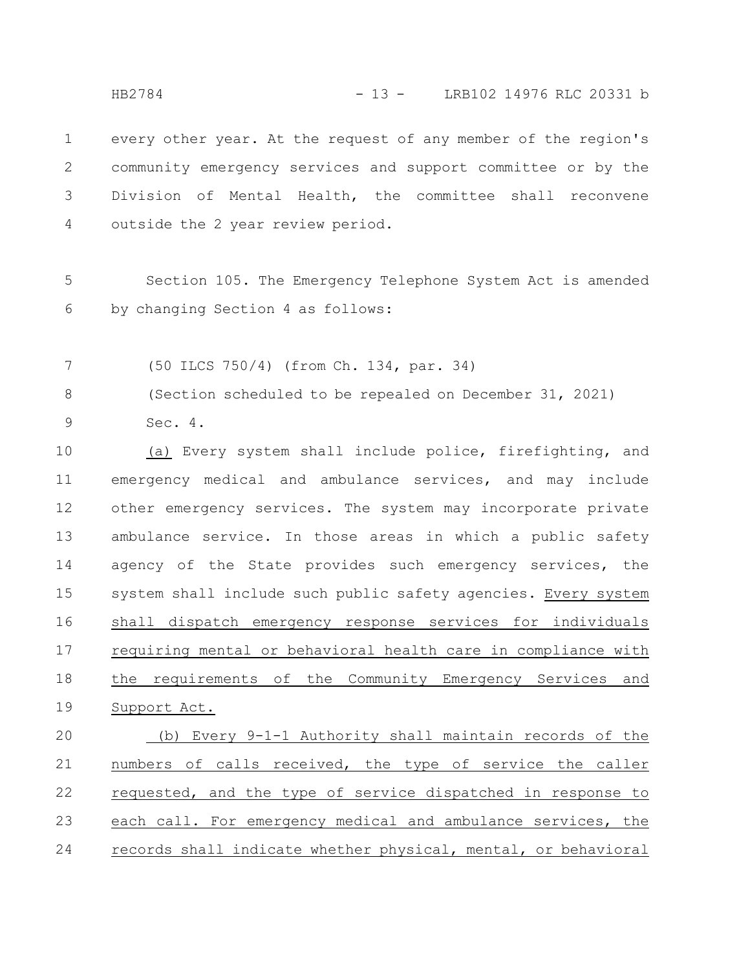every other year. At the request of any member of the region's community emergency services and support committee or by the Division of Mental Health, the committee shall reconvene outside the 2 year review period. 1 2 3 4

Section 105. The Emergency Telephone System Act is amended by changing Section 4 as follows: 5 6

(50 ILCS 750/4) (from Ch. 134, par. 34) 7

(Section scheduled to be repealed on December 31, 2021) Sec. 4. 8 9

(a) Every system shall include police, firefighting, and emergency medical and ambulance services, and may include other emergency services. The system may incorporate private ambulance service. In those areas in which a public safety agency of the State provides such emergency services, the system shall include such public safety agencies. Every system shall dispatch emergency response services for individuals requiring mental or behavioral health care in compliance with the requirements of the Community Emergency Services and Support Act. 10 11 12 13 14 15 16 17 18 19

(b) Every 9-1-1 Authority shall maintain records of the numbers of calls received, the type of service the caller requested, and the type of service dispatched in response to each call. For emergency medical and ambulance services, the records shall indicate whether physical, mental, or behavioral 20 21 22 23 24